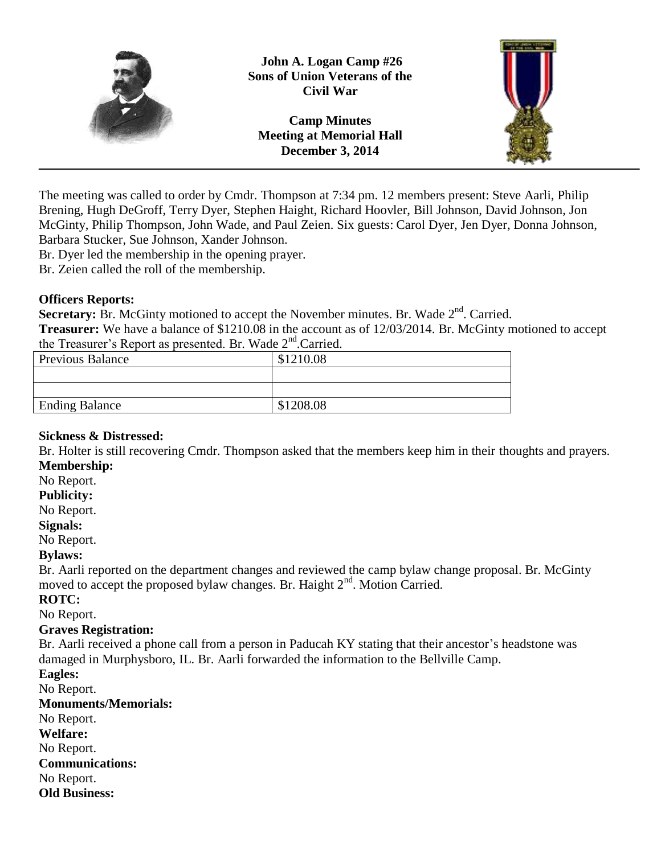

**Camp Minutes Meeting at Memorial Hall December 3, 2014**



The meeting was called to order by Cmdr. Thompson at 7:34 pm. 12 members present: Steve Aarli, Philip Brening, Hugh DeGroff, Terry Dyer, Stephen Haight, Richard Hoovler, Bill Johnson, David Johnson, Jon McGinty, Philip Thompson, John Wade, and Paul Zeien. Six guests: Carol Dyer, Jen Dyer, Donna Johnson, Barbara Stucker, Sue Johnson, Xander Johnson.

Br. Dyer led the membership in the opening prayer.

Br. Zeien called the roll of the membership.

#### **Officers Reports:**

Secretary: Br. McGinty motioned to accept the November minutes. Br. Wade 2<sup>nd</sup>. Carried.

**Treasurer:** We have a balance of \$1210.08 in the account as of 12/03/2014. Br. McGinty motioned to accept the Treasurer's Report as presented. Br. Wade 2<sup>nd</sup>.Carried.

| <b>Previous Balance</b> | \$1210.08 |
|-------------------------|-----------|
|                         |           |
|                         |           |
| <b>Ending Balance</b>   | \$1208.08 |
|                         |           |

## **Sickness & Distressed:**

Br. Holter is still recovering Cmdr. Thompson asked that the members keep him in their thoughts and prayers. **Membership:**

## No Report.

**Publicity:**

#### No Report.

**Signals:**

No Report.

## **Bylaws:**

Br. Aarli reported on the department changes and reviewed the camp bylaw change proposal. Br. McGinty moved to accept the proposed bylaw changes. Br. Haight  $2<sup>nd</sup>$ . Motion Carried.

#### **ROTC:**

No Report.

## **Graves Registration:**

Br. Aarli received a phone call from a person in Paducah KY stating that their ancestor's headstone was damaged in Murphysboro, IL. Br. Aarli forwarded the information to the Bellville Camp.

**Eagles:**

No Report.

**Monuments/Memorials:** No Report.

**Welfare:**

No Report.

**Communications:**

No Report.

**Old Business:**